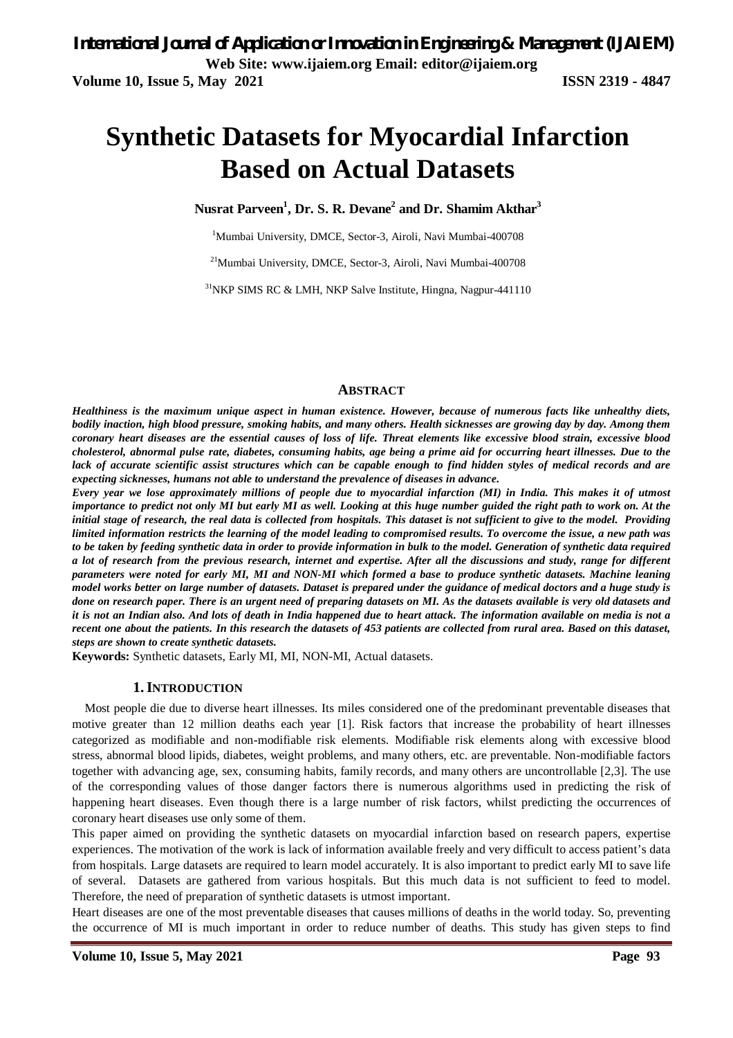# **Synthetic Datasets for Myocardial Infarction Based on Actual Datasets**

**Nusrat Parveen<sup>1</sup> , Dr. S. R. Devane<sup>2</sup> and Dr. Shamim Akthar<sup>3</sup>**

<sup>1</sup>Mumbai University, DMCE, Sector-3, Airoli, Navi Mumbai-400708

<sup>21</sup>Mumbai University, DMCE, Sector-3, Airoli, Navi Mumbai-400708

<sup>31</sup>NKP SIMS RC & LMH, NKP Salve Institute, Hingna, Nagpur-441110

#### **ABSTRACT**

*Healthiness is the maximum unique aspect in human existence. However, because of numerous facts like unhealthy diets, bodily inaction, high blood pressure, smoking habits, and many others. Health sicknesses are growing day by day. Among them coronary heart diseases are the essential causes of loss of life. Threat elements like excessive blood strain, excessive blood cholesterol, abnormal pulse rate, diabetes, consuming habits, age being a prime aid for occurring heart illnesses. Due to the lack of accurate scientific assist structures which can be capable enough to find hidden styles of medical records and are expecting sicknesses, humans not able to understand the prevalence of diseases in advance.*

*Every year we lose approximately millions of people due to myocardial infarction (MI) in India. This makes it of utmost importance to predict not only MI but early MI as well. Looking at this huge number guided the right path to work on. At the initial stage of research, the real data is collected from hospitals. This dataset is not sufficient to give to the model. Providing limited information restricts the learning of the model leading to compromised results. To overcome the issue, a new path was to be taken by feeding synthetic data in order to provide information in bulk to the model. Generation of synthetic data required a lot of research from the previous research, internet and expertise. After all the discussions and study, range for different parameters were noted for early MI, MI and NON-MI which formed a base to produce synthetic datasets. Machine leaning model works better on large number of datasets. Dataset is prepared under the guidance of medical doctors and a huge study is done on research paper. There is an urgent need of preparing datasets on MI. As the datasets available is very old datasets and it is not an Indian also. And lots of death in India happened due to heart attack. The information available on media is not a recent one about the patients. In this research the datasets of 453 patients are collected from rural area. Based on this dataset, steps are shown to create synthetic datasets.*

**Keywords:** Synthetic datasets, Early MI, MI, NON-MI, Actual datasets.

#### **1.INTRODUCTION**

Most people die due to diverse heart illnesses. Its miles considered one of the predominant preventable diseases that motive greater than 12 million deaths each year [1]. Risk factors that increase the probability of heart illnesses categorized as modifiable and non-modifiable risk elements. Modifiable risk elements along with excessive blood stress, abnormal blood lipids, diabetes, weight problems, and many others, etc. are preventable. Non-modifiable factors together with advancing age, sex, consuming habits, family records, and many others are uncontrollable [2,3]. The use of the corresponding values of those danger factors there is numerous algorithms used in predicting the risk of happening heart diseases. Even though there is a large number of risk factors, whilst predicting the occurrences of coronary heart diseases use only some of them.

This paper aimed on providing the synthetic datasets on myocardial infarction based on research papers, expertise experiences. The motivation of the work is lack of information available freely and very difficult to access patient's data from hospitals. Large datasets are required to learn model accurately. It is also important to predict early MI to save life of several. Datasets are gathered from various hospitals. But this much data is not sufficient to feed to model. Therefore, the need of preparation of synthetic datasets is utmost important.

Heart diseases are one of the most preventable diseases that causes millions of deaths in the world today. So, preventing the occurrence of MI is much important in order to reduce number of deaths. This study has given steps to find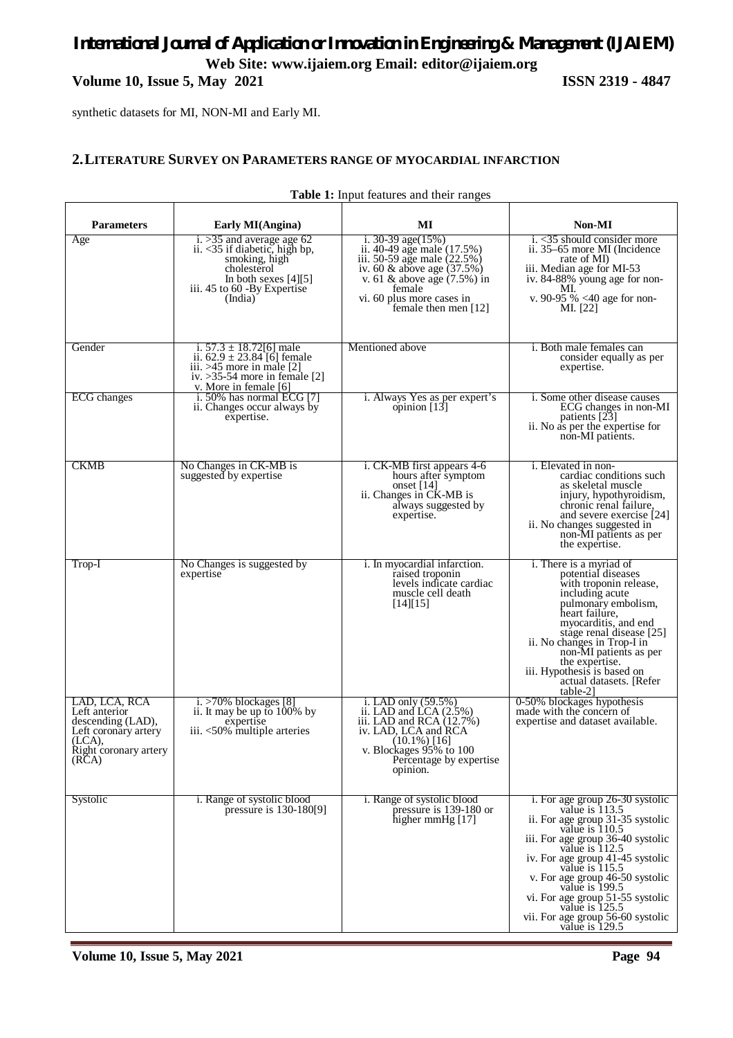**Volume 10, Issue 5, May 2021 ISSN 2319 - 4847** 

synthetic datasets for MI, NON-MI and Early MI.

#### **2.LITERATURE SURVEY ON PARAMETERS RANGE OF MYOCARDIAL INFARCTION**

| <b>Parameters</b>                                                                                                                | Early MI(Angina)                                                                                                                                                     | МI                                                                                                                                                                                                                | Non-MI                                                                                                                                                                                                                                                                                                                                                                                     |
|----------------------------------------------------------------------------------------------------------------------------------|----------------------------------------------------------------------------------------------------------------------------------------------------------------------|-------------------------------------------------------------------------------------------------------------------------------------------------------------------------------------------------------------------|--------------------------------------------------------------------------------------------------------------------------------------------------------------------------------------------------------------------------------------------------------------------------------------------------------------------------------------------------------------------------------------------|
| Age                                                                                                                              | i. $>35$ and average age 62<br>ii. $<$ 35 if diabetic, high bp,<br>smoking, high<br>cholesterol<br>In both sexes $[4][5]$<br>iii. 45 to 60 - By Expertise<br>(India) | i. 30-39 age $(15%)$<br>ii. 40-49 age male (17.5%)<br>iii. 50-59 age male (22.5%)<br>iv. 60 & above age (37.5%)<br>v. 61 & above age $(7.5%)$ in<br>female<br>vi. 60 plus more cases in<br>female then men $[12]$ | $i. < 35$ should consider more<br>ii. 35–65 more MI (Incidence)<br>rate of MI<br>iii. Median age for MI-53<br>iv. 84-88% young age for non-<br>MI.<br>v. 90-95 % <40 age for non-<br>MI. [22]                                                                                                                                                                                              |
| Gender                                                                                                                           | i. $57.3 \pm 18.72[6]$ male<br>ii. $62.9 \pm 23.84$ [6] female<br>iii. $>45$ more in male [2]<br>iv. $>35-54$ more in female [2]<br>v. More in female [6]            | Mentioned above                                                                                                                                                                                                   | i. Both male females can<br>consider equally as per<br>expertise.                                                                                                                                                                                                                                                                                                                          |
| ECG changes                                                                                                                      | i. $50\%$ has normal ECG [7]<br>ii. Changes occur always by<br>expertise.                                                                                            | i. Always Yes as per expert's<br>opinion $[13]$                                                                                                                                                                   | <i>i.</i> Some other disease causes<br>ECG changes in non-MI<br>patients [23]<br>ii. No as per the expertise for<br>non-MI patients.                                                                                                                                                                                                                                                       |
| <b>CKMB</b>                                                                                                                      | No Changes in CK-MB is<br>suggested by expertise                                                                                                                     | i. CK-MB first appears 4-6<br>hours after symptom<br>onset $[14]$<br>ii. Changes in CK-MB is<br>always suggested by<br>expertise.                                                                                 | <i>i</i> . Elevated in non-<br>cardiac conditions such<br>as skeletal muscle<br>injury, hypothyroidism,<br>chronic renal failure.<br>and severe exercise [24]<br>ii. No changes suggested in<br>non-MI patients as per<br>the expertise.                                                                                                                                                   |
| Trop-I                                                                                                                           | No Changes is suggested by<br>expertise                                                                                                                              | <i>i</i> . In myocardial infarction.<br>raised troponin<br>levels indicate cardiac<br>muscle cell death<br>$[14]$ [15]                                                                                            | <i>i</i> . There is a myriad of<br>potential diseases<br>with troponin release,<br>including acute<br>pulmonary embolism,<br>heart failure.<br>myocarditis, and end<br>stage renal disease [25]<br>ii. No changes in Trop-I in<br>non-MI patients as per<br>the expertise.<br>iii. Hypothesis is based on<br>actual datasets. [Refer]<br>table-2                                           |
| LAD, LCA, RCA<br>Left anterior<br>descending (LAD),<br>Left coronary artery<br>(LCA),<br>Right coronary artery<br>$(R\text{CA})$ | i. $>70\%$ blockages [8]<br>ii. It may be up to 100% by<br>expertise<br>$\overline{\text{iii}}$ . <50% multiple arteries                                             | i. LAD only $(59.5%)$<br>ii. $LAD$ and $LCA$ $(2.5\%)$<br>iii. LAD and RCA $(12.7%)$<br>iv. LAD, LCA and RCA<br>$(10.1\%)$ [16]<br>v. Blockages 95% to 100<br>Percentage by expertise<br>opinion.                 | 0-50% blockages hypothesis<br>made with the concern of<br>expertise and dataset available.                                                                                                                                                                                                                                                                                                 |
| Systolic                                                                                                                         | <i>i.</i> Range of systolic blood<br>pressure is $130-180[9]$                                                                                                        | <i>i.</i> Range of systolic blood<br>pressure is 139-180 or<br>higher mmHg $[17]$                                                                                                                                 | i. For age group 26-30 systolic<br>value is 113.5<br>ii. For age group 31-35 systolic<br>value is $110.5$<br>iii. For age group 36-40 systolic<br>value is 112.5<br>iv. For age group 41-45 systolic<br>value is $115.5$<br>v. For age group 46-50 systolic<br>value is 199.5<br>vi. For age group 51-55 systolic<br>value is 125.5<br>vii. For age group 56-60 systolic<br>value is 129.5 |

#### **Table 1:** Input features and their ranges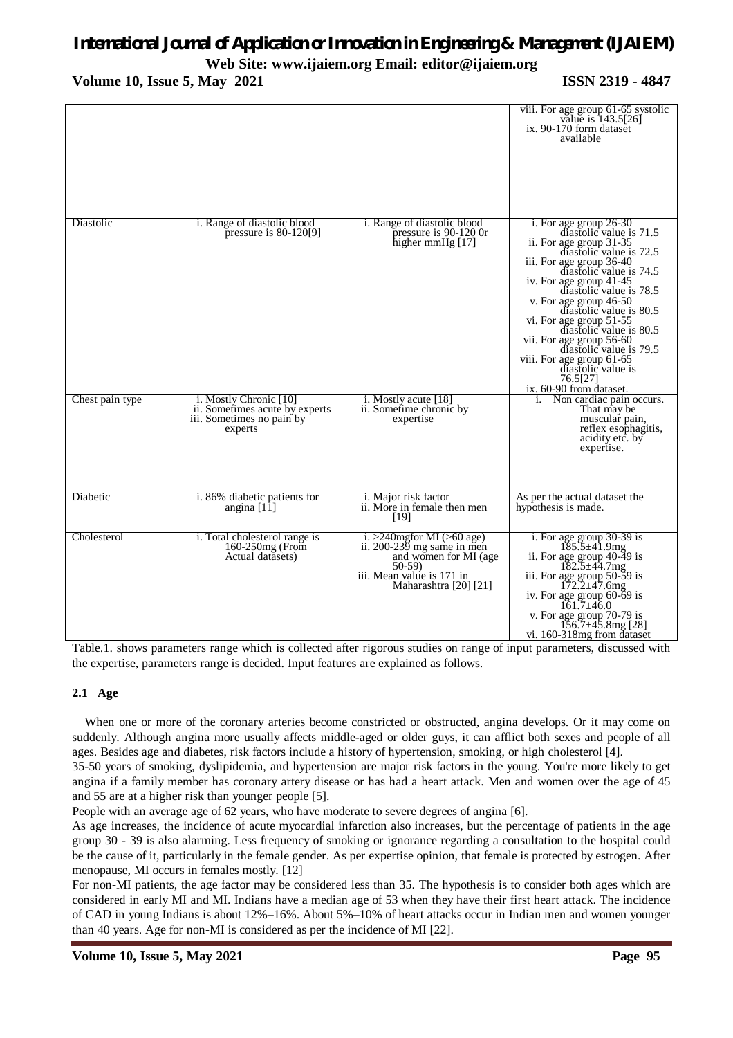## *International Journal of Application or Innovation in Engineering & Management (IJAIEM)*

#### **Web Site: www.ijaiem.org Email: editor@ijaiem.org**

**Volume 10, Issue 5, May 2021 ISSN 2319 - 4847** 

|                 |                                                                                                  |                                                                                                                                                       | viii. For age group 61-65 systolic<br>value is 143.5[26]<br>ix. 90-170 form dataset<br>available                                                                                                                                                                                                                                                                                                                                                                                     |
|-----------------|--------------------------------------------------------------------------------------------------|-------------------------------------------------------------------------------------------------------------------------------------------------------|--------------------------------------------------------------------------------------------------------------------------------------------------------------------------------------------------------------------------------------------------------------------------------------------------------------------------------------------------------------------------------------------------------------------------------------------------------------------------------------|
| Diastolic       | i. Range of diastolic blood<br>pressure is $80-120[9]$                                           | <i>i</i> . Range of diastolic blood<br>pressure is $90-120$ 0r<br>higher mmHg [17]                                                                    | i. For age group $26-30$<br>diastolic value is 71.5<br>ii. For age group 31-35<br>diastolic value is 72.5<br>iii. For age group 36-40<br>diastolic value is 74.5<br>iv. For age group 41-45<br>diastolic value is 78.5<br>v. For age group $46-50$<br>diastolic value is 80.5<br>vi. For age group 51-55<br>diastolic value is 80.5<br>vii. For age group 56-60<br>diastolic value is 79.5<br>viii. For age group 61-65<br>diastolic value is<br>76.5[27]<br>ix. 60-90 from dataset. |
| Chest pain type | i. Mostly Chronic [10]<br>ii. Sometimes acute by experts<br>iii. Sometimes no pain by<br>experts | i. Mostly acute [18]<br>ii. Sometime chronic by<br>expertise                                                                                          | i. Non cardiac pain occurs.<br>That may be<br>muscular pain,<br>reflex esophagitis,<br>acidity etc. by<br>expertise.                                                                                                                                                                                                                                                                                                                                                                 |
| Diabetic        | i. 86% diabetic patients for<br>angina $[11]$                                                    | <i>i</i> . Major risk factor<br>ii. More in female then men<br>$[19]$                                                                                 | As per the actual dataset the<br>hypothesis is made.                                                                                                                                                                                                                                                                                                                                                                                                                                 |
| Cholesterol     | i. Total cholesterol range is<br>160-250mg (From<br>Actual datasets)                             | i. >240 mgfor MI $($ >60 age)<br>ii. 200-239 mg same in men<br>and women for MI (age<br>$50-59$<br>iii. Mean value is 171 in<br>Maharashtra [20] [21] | i. For age group 30-39 is<br>$185.5 \pm 41.9$ mg<br>ii. For age group $40-49$ is<br>$182.5 \pm 44.7$ mg<br>iii. For age group 50-59 is<br>$172.2 \pm 47.6$ mg<br>iv. For age group $60-69$ is<br>$161.7 \pm 46.0$<br>v. For age group 70-79 is<br>$156.7 \pm 45.8$ mg [28]<br>vi. 160-318mg from dataset                                                                                                                                                                             |

Table.1. shows parameters range which is collected after rigorous studies on range of input parameters, discussed with the expertise, parameters range is decided. Input features are explained as follows.

#### **2.1 Age**

When one or more of the coronary arteries become constricted or obstructed, angina develops. Or it may come on suddenly. Although angina more usually affects middle-aged or older guys, it can afflict both sexes and people of all ages. Besides age and diabetes, risk factors include a history of hypertension, smoking, or high cholesterol [4].

35-50 years of smoking, dyslipidemia, and hypertension are major risk factors in the young. You're more likely to get angina if a family member has coronary artery disease or has had a heart attack. Men and women over the age of 45 and 55 are at a higher risk than younger people [5].

People with an average age of 62 years, who have moderate to severe degrees of angina [6].

As age increases, the incidence of acute myocardial infarction also increases, but the percentage of patients in the age group 30 - 39 is also alarming. Less frequency of smoking or ignorance regarding a consultation to the hospital could be the cause of it, particularly in the female gender. As per expertise opinion, that female is protected by estrogen. After menopause, MI occurs in females mostly. [12]

For non-MI patients, the age factor may be considered less than 35. The hypothesis is to consider both ages which are considered in early MI and MI. Indians have a median age of 53 when they have their first heart attack. The incidence of CAD in young Indians is about 12%–16%. About 5%–10% of heart attacks occur in Indian men and women younger than 40 years. Age for non-MI is considered as per the incidence of MI [22].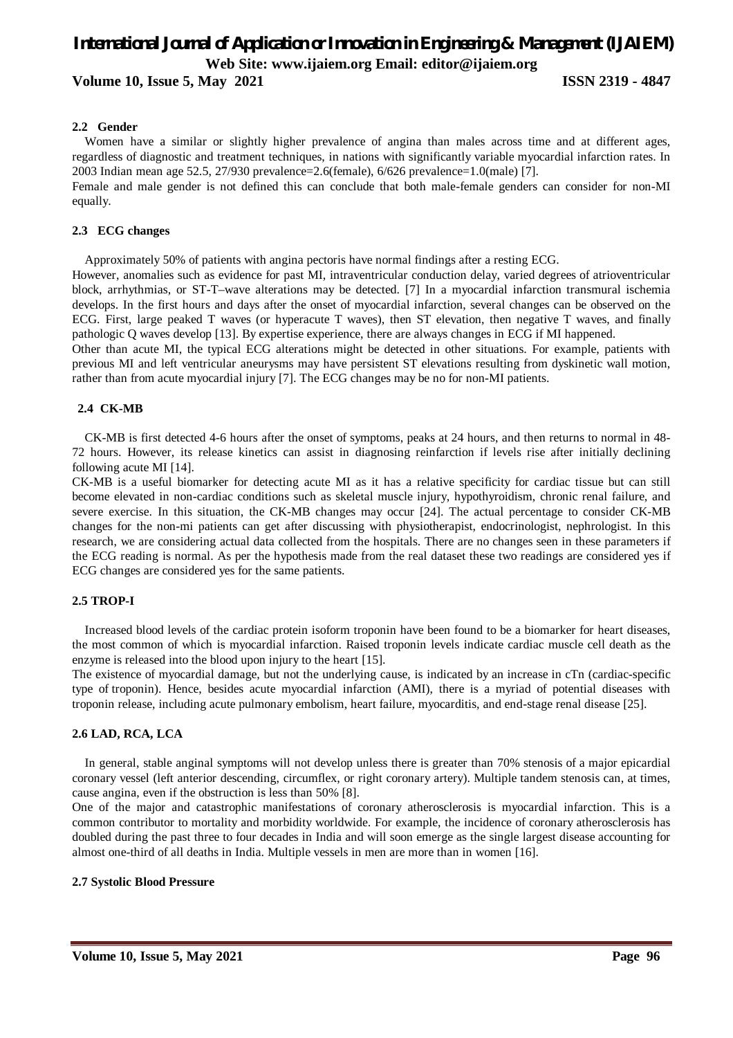**Volume 10, Issue 5, May 2021 ISSN 2319 - 4847** 

#### **2.2 Gender**

Women have a similar or slightly higher prevalence of angina than males across time and at different ages, regardless of diagnostic and treatment techniques, in nations with significantly variable myocardial infarction rates. In 2003 Indian mean age 52.5, 27/930 prevalence=2.6(female), 6/626 prevalence=1.0(male) [7].

Female and male gender is not defined this can conclude that both male-female genders can consider for non-MI equally.

#### **2.3 ECG changes**

Approximately 50% of patients with angina pectoris have normal findings after a resting ECG.

However, anomalies such as evidence for past MI, intraventricular conduction delay, varied degrees of atrioventricular block, arrhythmias, or ST-T–wave alterations may be detected. [7] In a myocardial infarction transmural ischemia develops. In the first hours and days after the onset of myocardial infarction, several changes can be observed on the ECG. First, large peaked T waves (or hyperacute T waves), then ST elevation, then negative T waves, and finally pathologic Q waves develop [13]. By expertise experience, there are always changes in ECG if MI happened.

Other than acute MI, the typical ECG alterations might be detected in other situations. For example, patients with previous MI and left ventricular aneurysms may have persistent ST elevations resulting from dyskinetic wall motion, rather than from acute myocardial injury [7]. The ECG changes may be no for non-MI patients.

#### **2.4 CK-MB**

CK-MB is first detected 4-6 hours after the onset of symptoms, peaks at 24 hours, and then returns to normal in 48- 72 hours. However, its release kinetics can assist in diagnosing reinfarction if levels rise after initially declining following acute MI [14].

CK-MB is a useful biomarker for detecting acute MI as it has a relative specificity for cardiac tissue but can still become elevated in non-cardiac conditions such as skeletal muscle injury, hypothyroidism, chronic renal failure, and severe exercise. In this situation, the CK-MB changes may occur [24]. The actual percentage to consider CK-MB changes for the non-mi patients can get after discussing with physiotherapist, endocrinologist, nephrologist. In this research, we are considering actual data collected from the hospitals. There are no changes seen in these parameters if the ECG reading is normal. As per the hypothesis made from the real dataset these two readings are considered yes if ECG changes are considered yes for the same patients.

#### **2.5 TROP-I**

Increased blood levels of the cardiac protein isoform troponin have been found to be a biomarker for heart diseases, the most common of which is myocardial infarction. Raised troponin levels indicate cardiac muscle cell death as the enzyme is released into the blood upon injury to the heart [15].

The existence of myocardial damage, but not the underlying cause, is indicated by an increase in cTn (cardiac-specific type of troponin). Hence, besides acute myocardial infarction (AMI), there is a myriad of potential diseases with troponin release, including acute pulmonary embolism, heart failure, myocarditis, and end-stage renal disease [25].

#### **2.6 LAD, RCA, LCA**

In general, stable anginal symptoms will not develop unless there is greater than 70% stenosis of a major epicardial coronary vessel (left anterior descending, circumflex, or right coronary artery). Multiple tandem stenosis can, at times, cause angina, even if the obstruction is less than 50% [8].

One of the major and catastrophic manifestations of coronary atherosclerosis is myocardial infarction. This is a common contributor to mortality and morbidity worldwide. For example, the incidence of coronary atherosclerosis has doubled during the past three to four decades in India and will soon emerge as the single largest disease accounting for almost one-third of all deaths in India. Multiple vessels in men are more than in women [16].

#### **2.7 Systolic Blood Pressure**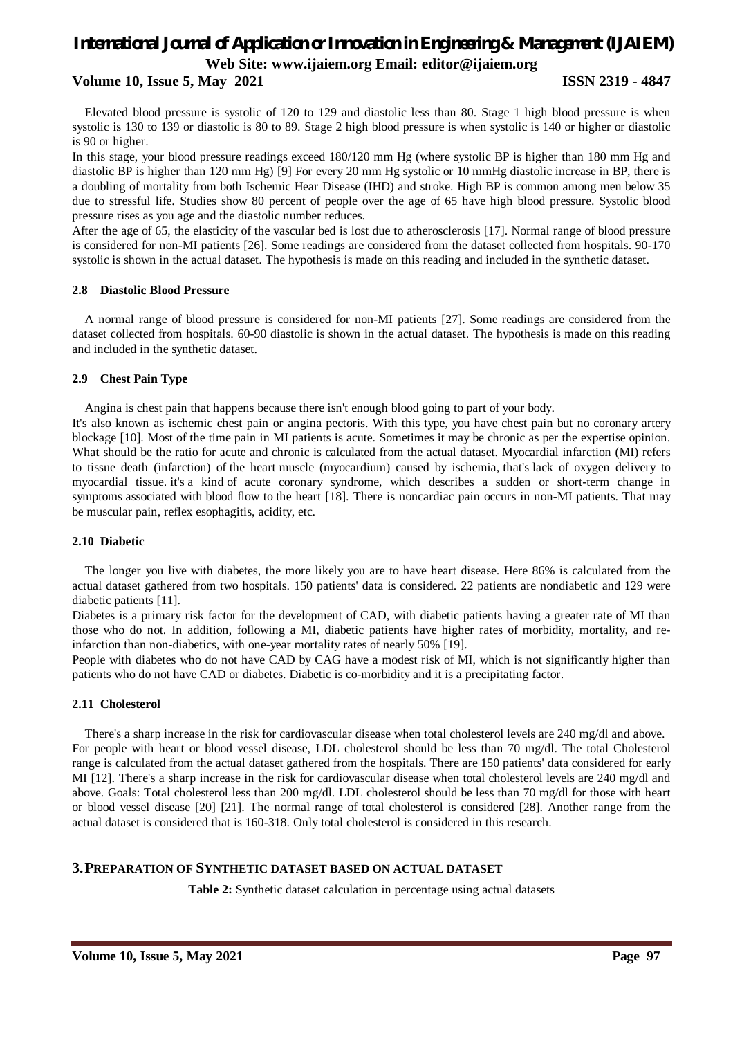#### **Volume 10, Issue 5, May 2021 ISSN 2319 - 4847**

Elevated blood pressure is systolic of 120 to 129 and diastolic less than 80. Stage 1 high blood pressure is when systolic is 130 to 139 or diastolic is 80 to 89. Stage 2 high blood pressure is when systolic is 140 or higher or diastolic is 90 or higher.

In this stage, your blood pressure readings exceed 180/120 mm Hg (where systolic BP is higher than 180 mm Hg and diastolic BP is higher than 120 mm Hg) [9] For every 20 mm Hg systolic or 10 mmHg diastolic increase in BP, there is a doubling of mortality from both Ischemic Hear Disease (IHD) and stroke. High BP is common among men below 35 due to stressful life. Studies show 80 percent of people over the age of 65 have high blood pressure. Systolic blood pressure rises as you age and the diastolic number reduces.

After the age of 65, the elasticity of the vascular bed is lost due to atherosclerosis [17]. Normal range of blood pressure is considered for non-MI patients [26]. Some readings are considered from the dataset collected from hospitals. 90-170 systolic is shown in the actual dataset. The hypothesis is made on this reading and included in the synthetic dataset.

#### **2.8 Diastolic Blood Pressure**

A normal range of blood pressure is considered for non-MI patients [27]. Some readings are considered from the dataset collected from hospitals. 60-90 diastolic is shown in the actual dataset. The hypothesis is made on this reading and included in the synthetic dataset.

#### **2.9 Chest Pain Type**

Angina is chest pain that happens because there isn't enough blood going to part of your body.

It's also known as ischemic chest pain or angina pectoris. With this type, you have chest pain but no coronary artery blockage [10]. Most of the time pain in MI patients is acute. Sometimes it may be chronic as per the expertise opinion. What should be the ratio for acute and chronic is calculated from the actual dataset. Myocardial infarction (MI) refers to tissue death (infarction) of the heart muscle (myocardium) caused by ischemia, that's lack of oxygen delivery to myocardial tissue. it's a kind of acute coronary syndrome, which describes a sudden or short-term change in symptoms associated with blood flow to the heart [18]. There is noncardiac pain occurs in non-MI patients. That may be muscular pain, reflex esophagitis, acidity, etc.

#### **2.10 Diabetic**

The longer you live with diabetes, the more likely you are to have heart disease. Here 86% is calculated from the actual dataset gathered from two hospitals. 150 patients' data is considered. 22 patients are nondiabetic and 129 were diabetic patients [11].

Diabetes is a primary risk factor for the development of CAD, with diabetic patients having a greater rate of MI than those who do not. In addition, following a MI, diabetic patients have higher rates of morbidity, mortality, and reinfarction than non-diabetics, with one-year mortality rates of nearly 50% [19].

People with diabetes who do not have CAD by CAG have a modest risk of MI, which is not significantly higher than patients who do not have CAD or diabetes. Diabetic is co-morbidity and it is a precipitating factor.

#### **2.11 Cholesterol**

There's a sharp increase in the risk for cardiovascular disease when total cholesterol levels are 240 mg/dl and above. For people with heart or blood vessel disease, LDL cholesterol should be less than 70 mg/dl. The total Cholesterol range is calculated from the actual dataset gathered from the hospitals. There are 150 patients' data considered for early MI [12]. There's a sharp increase in the risk for cardiovascular disease when total cholesterol levels are 240 mg/dl and above. Goals: Total cholesterol less than 200 mg/dl. LDL cholesterol should be less than 70 mg/dl for those with heart or blood vessel disease [20] [21]. The normal range of total cholesterol is considered [28]. Another range from the actual dataset is considered that is 160-318. Only total cholesterol is considered in this research.

#### **3.PREPARATION OF SYNTHETIC DATASET BASED ON ACTUAL DATASET**

**Table 2:** Synthetic dataset calculation in percentage using actual datasets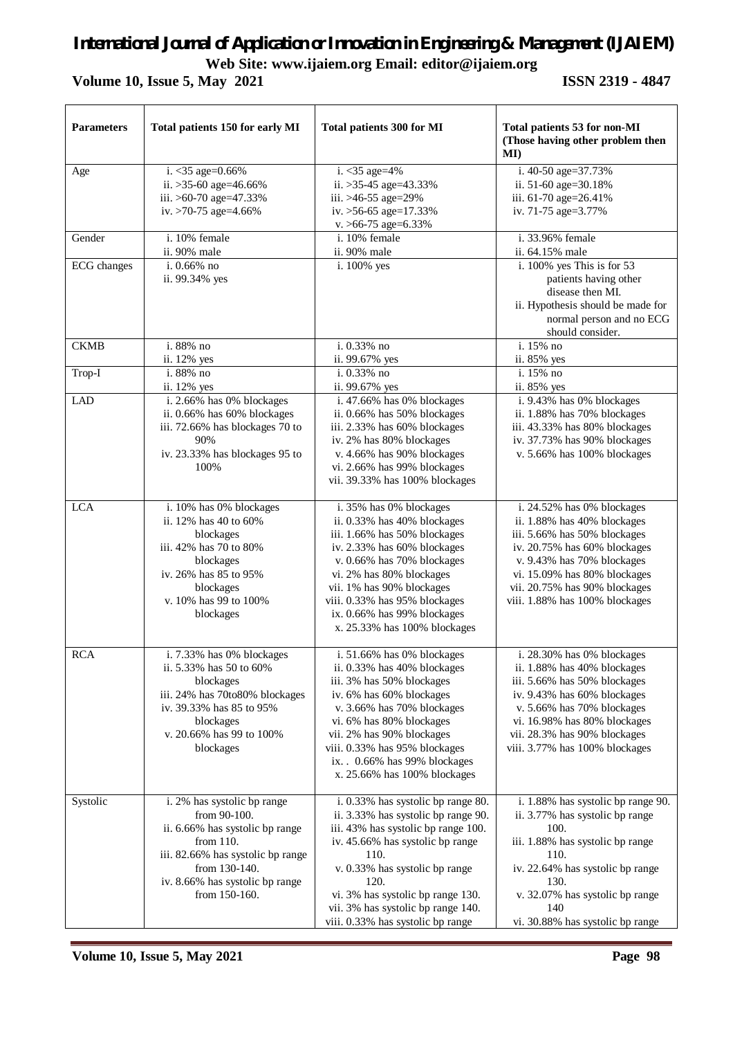## *International Journal of Application or Innovation in Engineering & Management (IJAIEM)*

**Web Site: www.ijaiem.org Email: editor@ijaiem.org**

**Volume 10, Issue 5, May 2021 ISSN 2319 - 4847** 

| <b>Parameters</b>  | Total patients 150 for early MI                                                                                                                                                                       | <b>Total patients 300 for MI</b>                                                                                                                                                                                                                                                                                       | Total patients 53 for non-MI<br>(Those having other problem then<br>MI)                                                                                                                                                                                    |
|--------------------|-------------------------------------------------------------------------------------------------------------------------------------------------------------------------------------------------------|------------------------------------------------------------------------------------------------------------------------------------------------------------------------------------------------------------------------------------------------------------------------------------------------------------------------|------------------------------------------------------------------------------------------------------------------------------------------------------------------------------------------------------------------------------------------------------------|
| Age                | i. $<$ 35 age=0.66%<br>ii. > 35-60 age=46.66%<br>iii. >60-70 age=47.33%<br>iv. >70-75 age=4.66%                                                                                                       | i. < 35 age=4%<br>ii. > 35-45 age=43.33%<br>iii. >46-55 age=29%<br>iv. > 56-65 age=17.33%<br>v. >66-75 age=6.33%                                                                                                                                                                                                       | i. 40-50 age=37.73%<br>ii. 51-60 age=30.18%<br>iii. 61-70 age=26.41%<br>iv. 71-75 age=3.77%                                                                                                                                                                |
| Gender             | i. 10% female<br>ii. 90% male                                                                                                                                                                         | i. 10% female<br>ii. 90% male                                                                                                                                                                                                                                                                                          | i. 33.96% female<br>ii. 64.15% male                                                                                                                                                                                                                        |
| <b>ECG</b> changes | i. 0.66% no<br>ii. 99.34% yes                                                                                                                                                                         | i. 100% yes                                                                                                                                                                                                                                                                                                            | i. 100% yes This is for 53<br>patients having other<br>disease then MI.<br>ii. Hypothesis should be made for<br>normal person and no ECG<br>should consider.                                                                                               |
| <b>CKMB</b>        | i. 88% no                                                                                                                                                                                             | i. 0.33% no                                                                                                                                                                                                                                                                                                            | i. 15% no                                                                                                                                                                                                                                                  |
| Trop-I             | ii. 12% yes<br>i. 88% no                                                                                                                                                                              | ii. 99.67% yes<br>i. 0.33% no                                                                                                                                                                                                                                                                                          | ii. 85% yes<br>i. 15% no                                                                                                                                                                                                                                   |
| <b>LAD</b>         | ii. 12% yes<br>i. 2.66% has 0% blockages<br>ii. 0.66% has 60% blockages<br>iii. 72.66% has blockages 70 to<br>90%<br>iv. 23.33% has blockages 95 to<br>100%                                           | ii. 99.67% yes<br>i. 47.66% has 0% blockages<br>ii. 0.66% has 50% blockages<br>iii. 2.33% has 60% blockages<br>iv. 2% has 80% blockages<br>v. 4.66% has 90% blockages<br>vi. 2.66% has 99% blockages<br>vii. 39.33% has 100% blockages                                                                                 | ii. 85% yes<br>i. 9.43% has 0% blockages<br>ii. 1.88% has 70% blockages<br>iii. 43.33% has 80% blockages<br>iv. 37.73% has 90% blockages<br>v. 5.66% has 100% blockages                                                                                    |
| <b>LCA</b>         | i. 10% has 0% blockages<br>ii. 12% has 40 to 60%<br>blockages<br>iii. 42% has 70 to 80%<br>blockages<br>iv. 26% has 85 to 95%<br>blockages<br>v. 10% has 99 to 100%<br>blockages                      | i. 35% has 0% blockages<br>ii. 0.33% has 40% blockages<br>iii. 1.66% has 50% blockages<br>iv. 2.33% has 60% blockages<br>v. 0.66% has 70% blockages<br>vi. 2% has 80% blockages<br>vii. 1% has 90% blockages<br>viii. 0.33% has 95% blockages<br>ix. 0.66% has 99% blockages<br>x. 25.33% has 100% blockages           | i. 24.52% has 0% blockages<br>ii. 1.88% has 40% blockages<br>iii. 5.66% has 50% blockages<br>iv. 20.75% has 60% blockages<br>v. 9.43% has 70% blockages<br>vi. 15.09% has 80% blockages<br>vii. 20.75% has 90% blockages<br>viii. 1.88% has 100% blockages |
| <b>RCA</b>         | i. 7.33% has 0% blockages<br>ii. 5.33% has 50 to 60%<br>blockages<br>iii. 24% has 70to80% blockages<br>iv. 39.33% has 85 to 95%<br>blockages<br>v. 20.66% has 99 to 100%<br>blockages                 | i. $51.66\%$ has 0% blockages<br>ii. 0.33% has 40% blockages<br>iii. 3% has 50% blockages<br>iv. 6% has 60% blockages<br>v. 3.66% has 70% blockages<br>vi. 6% has 80% blockages<br>vii. 2% has 90% blockages<br>viii. 0.33% has 95% blockages<br>ix. . 0.66% has 99% blockages<br>x. 25.66% has 100% blockages         | i. 28.30% has 0% blockages<br>ii. 1.88% has 40% blockages<br>iii. 5.66% has 50% blockages<br>iv. 9.43% has 60% blockages<br>v. 5.66% has 70% blockages<br>vi. 16.98% has 80% blockages<br>vii. 28.3% has 90% blockages<br>viii. 3.77% has 100% blockages   |
| Systolic           | i. 2% has systolic bp range<br>from 90-100.<br>ii. 6.66% has systolic bp range<br>from 110.<br>iii. 82.66% has systolic bp range<br>from 130-140.<br>iv. 8.66% has systolic bp range<br>from 150-160. | i. 0.33% has systolic bp range 80.<br>ii. 3.33% has systolic bp range 90.<br>iii. 43% has systolic bp range 100.<br>iv. 45.66% has systolic bp range<br>110.<br>v. 0.33% has systolic bp range<br>120.<br>vi. 3% has systolic bp range 130.<br>vii. 3% has systolic bp range 140.<br>viii. 0.33% has systolic bp range | i. 1.88% has systolic bp range 90.<br>ii. 3.77% has systolic bp range<br>100.<br>iii. 1.88% has systolic bp range<br>110.<br>iv. 22.64% has systolic bp range<br>130.<br>v. 32.07% has systolic bp range<br>140<br>vi. 30.88% has systolic bp range        |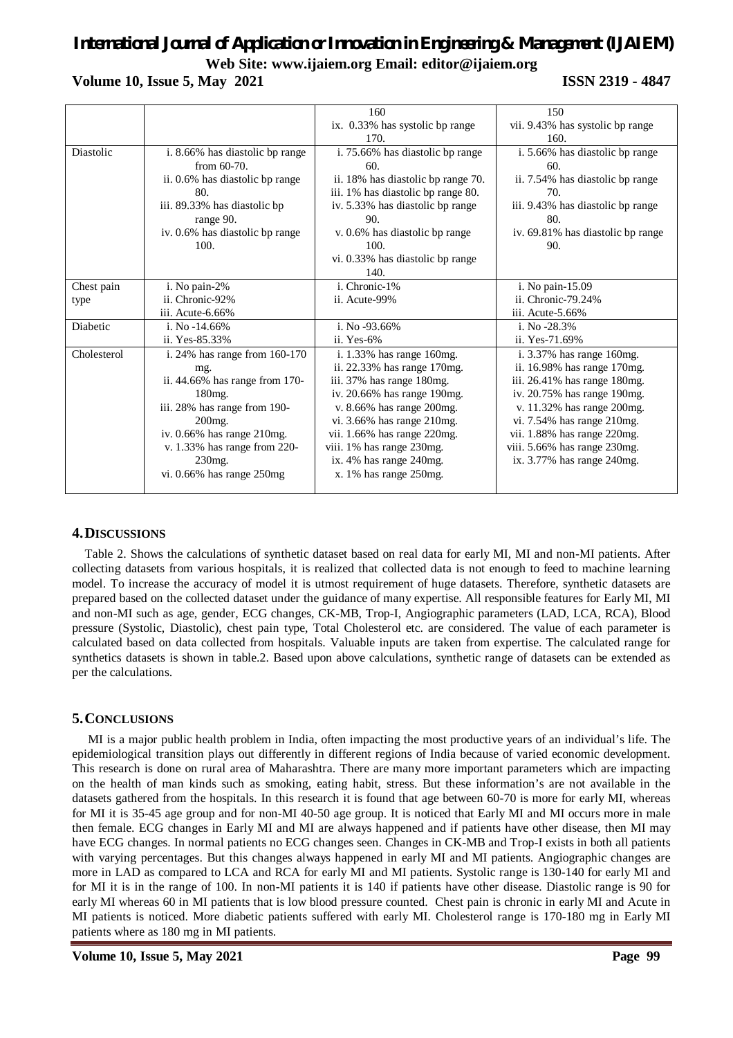**Volume 10, Issue 5, May 2021 ISSN 2319 - 4847** 

|             |                                 | 160                                | 150                               |
|-------------|---------------------------------|------------------------------------|-----------------------------------|
|             |                                 | ix. 0.33% has systolic bp range    | vii. 9.43% has systolic bp range  |
|             |                                 | 170.                               | 160.                              |
| Diastolic   | i. 8.66% has diastolic bp range | i. 75.66% has diastolic bp range   | i. 5.66% has diastolic bp range   |
|             | from $60-70$ .                  | 60.                                | 60.                               |
|             | ii. 0.6% has diastolic bp range | ii. 18% has diastolic bp range 70. | ii. 7.54% has diastolic bp range  |
|             | 80.                             | iii. 1% has diastolic bp range 80. | 70.                               |
|             | iii. 89.33% has diastolic bp    | iv. 5.33% has diastolic bp range   | iii. 9.43% has diastolic bp range |
|             | range 90.                       | 90.                                | 80.                               |
|             | iv. 0.6% has diastolic bp range | v. 0.6% has diastolic bp range     | iv. 69.81% has diastolic bp range |
|             | 100.                            | 100.                               | 90.                               |
|             |                                 | vi. 0.33% has diastolic bp range   |                                   |
|             |                                 | 140.                               |                                   |
| Chest pain  | i. No pain-2%                   | i. Chronic-1%                      | i. No pain-15.09                  |
| type        | ii. Chronic-92%                 | ii. Acute-99%                      | ii. Chronic-79.24%                |
|             | iii. Acute-6.66%                |                                    | iii. Acute-5.66%                  |
| Diabetic    | i. No -14.66%                   | i. No $-93.66\%$                   | i. No $-28.3%$                    |
|             | ii. Yes-85.33%                  | ii. Yes-6%                         | ii. Yes-71.69%                    |
| Cholesterol | i. 24% has range from $160-170$ | i. $1.33\%$ has range 160 mg.      | i. $3.37\%$ has range 160 mg.     |
|             | mg.                             | ii. 22.33% has range 170mg.        | ii. 16.98% has range 170mg.       |
|             | ii. 44.66% has range from 170-  | iii. 37% has range 180mg.          | iii. 26.41% has range 180mg.      |
|             | 180mg.                          | iv. 20.66% has range 190mg.        | iv. 20.75% has range 190mg.       |
|             | iii. 28% has range from 190-    | v. 8.66% has range 200mg.          | v. 11.32% has range 200mg.        |
|             | 200 <sub>mg</sub> .             | vi. 3.66% has range 210mg.         | vi. 7.54% has range 210mg.        |
|             | iv. 0.66% has range 210mg.      | vii. 1.66% has range 220mg.        | vii. 1.88% has range 220mg.       |
|             | v. 1.33% has range from 220-    | viii. 1% has range 230mg.          | viii. 5.66% has range 230mg.      |
|             | 230mg.                          | ix. 4% has range 240mg.            | ix. 3.77% has range 240mg.        |
|             | vi. $0.66\%$ has range $250mg$  | $x. 1\%$ has range 250mg.          |                                   |
|             |                                 |                                    |                                   |

#### **4.DISCUSSIONS**

Table 2. Shows the calculations of synthetic dataset based on real data for early MI, MI and non-MI patients. After collecting datasets from various hospitals, it is realized that collected data is not enough to feed to machine learning model. To increase the accuracy of model it is utmost requirement of huge datasets. Therefore, synthetic datasets are prepared based on the collected dataset under the guidance of many expertise. All responsible features for Early MI, MI and non-MI such as age, gender, ECG changes, CK-MB, Trop-I, Angiographic parameters (LAD, LCA, RCA), Blood pressure (Systolic, Diastolic), chest pain type, Total Cholesterol etc. are considered. The value of each parameter is calculated based on data collected from hospitals. Valuable inputs are taken from expertise. The calculated range for synthetics datasets is shown in table.2. Based upon above calculations, synthetic range of datasets can be extended as per the calculations.

#### **5.CONCLUSIONS**

MI is a major public health problem in India, often impacting the most productive years of an individual's life. The epidemiological transition plays out differently in different regions of India because of varied economic development. This research is done on rural area of Maharashtra. There are many more important parameters which are impacting on the health of man kinds such as smoking, eating habit, stress. But these information's are not available in the datasets gathered from the hospitals. In this research it is found that age between 60-70 is more for early MI, whereas for MI it is 35-45 age group and for non-MI 40-50 age group. It is noticed that Early MI and MI occurs more in male then female. ECG changes in Early MI and MI are always happened and if patients have other disease, then MI may have ECG changes. In normal patients no ECG changes seen. Changes in CK-MB and Trop-I exists in both all patients with varying percentages. But this changes always happened in early MI and MI patients. Angiographic changes are more in LAD as compared to LCA and RCA for early MI and MI patients. Systolic range is 130-140 for early MI and for MI it is in the range of 100. In non-MI patients it is 140 if patients have other disease. Diastolic range is 90 for early MI whereas 60 in MI patients that is low blood pressure counted. Chest pain is chronic in early MI and Acute in MI patients is noticed. More diabetic patients suffered with early MI. Cholesterol range is 170-180 mg in Early MI patients where as 180 mg in MI patients.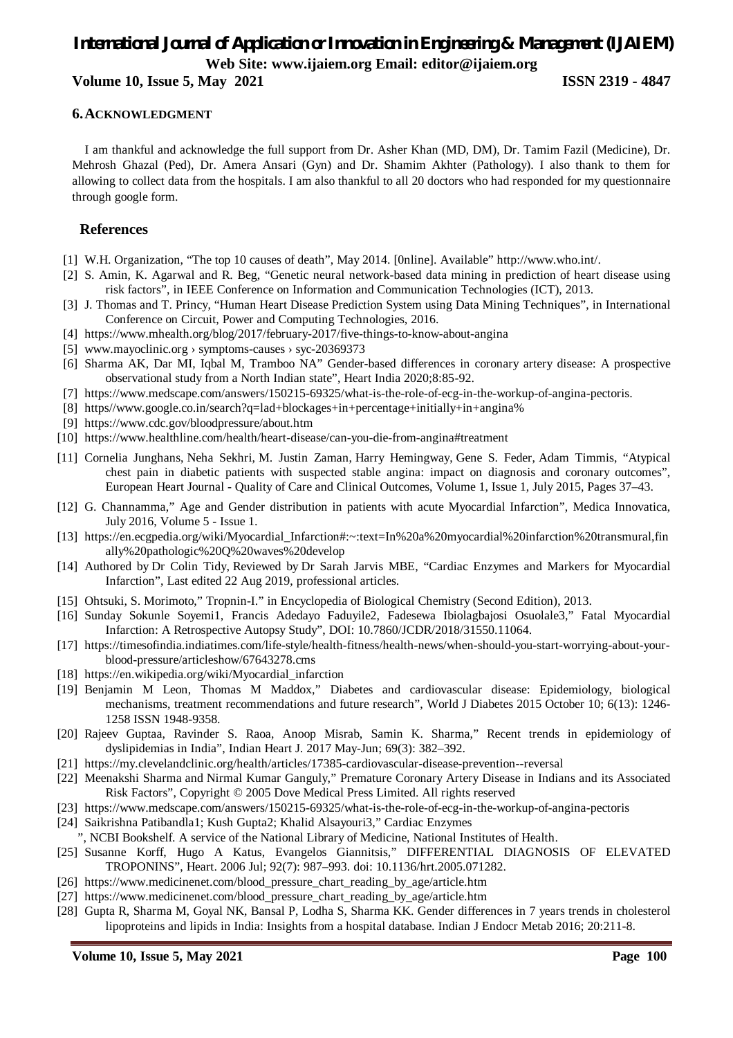**Volume 10, Issue 5, May 2021 ISSN 2319 - 4847**

#### **6.ACKNOWLEDGMENT**

I am thankful and acknowledge the full support from Dr. Asher Khan (MD, DM), Dr. Tamim Fazil (Medicine), Dr. Mehrosh Ghazal (Ped), Dr. Amera Ansari (Gyn) and Dr. Shamim Akhter (Pathology). I also thank to them for allowing to collect data from the hospitals. I am also thankful to all 20 doctors who had responded for my questionnaire through google form.

#### **References**

- [1] W.H. Organization, "The top 10 causes of death", May 2014. [0nline]. Available" http://www.who.int/.
- [2] S. Amin, K. Agarwal and R. Beg, "Genetic neural network-based data mining in prediction of heart disease using risk factors", in IEEE Conference on Information and Communication Technologies (ICT), 2013.
- [3] J. Thomas and T. Princy, "Human Heart Disease Prediction System using Data Mining Techniques", in International Conference on Circuit, Power and Computing Technologies, 2016.
- [4] https://www.mhealth.org/blog/2017/february-2017/five-things-to-know-about-angina
- [5] www.mayoclinic.org › symptoms-causes › syc-20369373
- [6] Sharma AK, Dar MI, Iqbal M, Tramboo NA" Gender-based differences in coronary artery disease: A prospective observational study from a North Indian state", Heart India 2020;8:85-92.
- [7] https://www.medscape.com/answers/150215-69325/what-is-the-role-of-ecg-in-the-workup-of-angina-pectoris.
- [8] https//www.google.co.in/search?q=lad+blockages+in+percentage+initially+in+angina%
- [9] https://www.cdc.gov/bloodpressure/about.htm
- [10] https://www.healthline.com/health/heart-disease/can-you-die-from-angina#treatment
- [11] Cornelia Junghans, Neha Sekhri, M. Justin Zaman, Harry Hemingway, Gene S. Feder, Adam Timmis, "Atypical chest pain in diabetic patients with suspected stable angina: impact on diagnosis and coronary outcomes", European Heart Journal - Quality of Care and Clinical Outcomes, Volume 1, Issue 1, July 2015, Pages 37–43.
- [12] G. Channamma," Age and Gender distribution in patients with acute Myocardial Infarction", Medica Innovatica, July 2016, Volume 5 - Issue 1.
- [13] https://en.ecgpedia.org/wiki/Myocardial\_Infarction#:~:text=In%20a%20myocardial%20infarction%20transmural,fin ally%20pathologic%20Q%20waves%20develop
- [14] Authored by Dr Colin Tidy, Reviewed by Dr Sarah Jarvis MBE, "Cardiac Enzymes and Markers for Myocardial Infarction", Last edited 22 Aug 2019, professional articles.
- [15] Ohtsuki, S. Morimoto," Tropnin-I." in Encyclopedia of Biological Chemistry (Second Edition), 2013.
- [16] Sunday Sokunle Soyemi1, Francis Adedayo Faduyile2, Fadesewa Ibiolagbajosi Osuolale3," Fatal Myocardial Infarction: A Retrospective Autopsy Study", DOI: 10.7860/JCDR/2018/31550.11064.
- [17] https://timesofindia.indiatimes.com/life-style/health-fitness/health-news/when-should-you-start-worrying-about-yourblood-pressure/articleshow/67643278.cms
- [18] https://en.wikipedia.org/wiki/Myocardial infarction
- [19] Benjamin M Leon, Thomas M Maddox," Diabetes and cardiovascular disease: Epidemiology, biological mechanisms, treatment recommendations and future research", World J Diabetes 2015 October 10; 6(13): 1246- 1258 ISSN 1948-9358.
- [20] Rajeev Guptaa, Ravinder S. Raoa, Anoop Misrab, Samin K. Sharma," Recent trends in epidemiology of dyslipidemias in India", Indian Heart J. 2017 May-Jun; 69(3): 382–392.
- [21] https://my.clevelandclinic.org/health/articles/17385-cardiovascular-disease-prevention--reversal
- [22] Meenakshi Sharma and Nirmal Kumar Ganguly," Premature Coronary Artery Disease in Indians and its Associated Risk Factors", Copyright © 2005 Dove Medical Press Limited. All rights reserved
- [23] https://www.medscape.com/answers/150215-69325/what-is-the-role-of-ecg-in-the-workup-of-angina-pectoris
- [24] Saikrishna Patibandla1; Kush Gupta2; Khalid Alsayouri3," Cardiac Enzymes
- ", NCBI Bookshelf. A service of the National Library of Medicine, National Institutes of Health.
- [25] Susanne Korff, Hugo A Katus, Evangelos Giannitsis," DIFFERENTIAL DIAGNOSIS OF ELEVATED TROPONINS", Heart. 2006 Jul; 92(7): 987–993. doi: 10.1136/hrt.2005.071282.
- [26] https://www.medicinenet.com/blood\_pressure\_chart\_reading\_by\_age/article.htm
- [27] https://www.medicinenet.com/blood\_pressure\_chart\_reading\_by\_age/article.htm
- [28] Gupta R, Sharma M, Goyal NK, Bansal P, Lodha S, Sharma KK. Gender differences in 7 years trends in cholesterol lipoproteins and lipids in India: Insights from a hospital database. Indian J Endocr Metab 2016; 20:211-8.